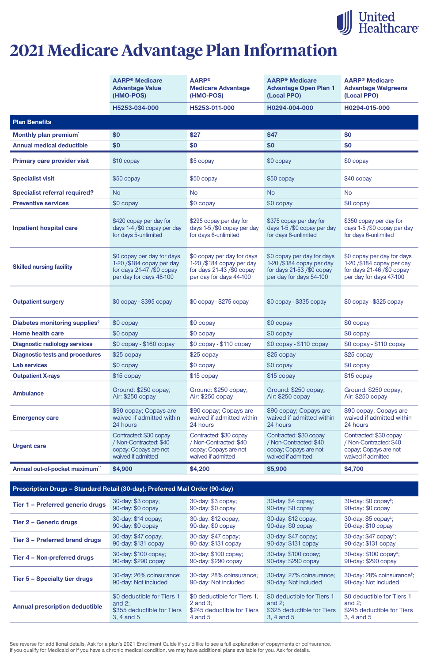See reverse for additional details. Ask for a plan's 2021 Enrollment Guide if you'd like to see a full explanation of copayments or coinsurance. If you qualify for Medicaid or if you have a chronic medical condition, we may have additional plans available for you. Ask for details.

|                                           | <b>AARP<sup>®</sup> Medicare</b><br><b>Advantage Value</b><br>(HMO-POS)                                             | <b>AARP®</b><br><b>Medicare Advantage</b><br>(HMO-POS)                                                             | <b>AARP<sup>®</sup></b> Medicare<br><b>Advantage Open Plan 1</b><br>(Local PPO)                                   | <b>AARP<sup>®</sup></b> Medicare<br><b>Advantage Walgreens</b><br>(Local PPO)                                     |  |  |
|-------------------------------------------|---------------------------------------------------------------------------------------------------------------------|--------------------------------------------------------------------------------------------------------------------|-------------------------------------------------------------------------------------------------------------------|-------------------------------------------------------------------------------------------------------------------|--|--|
|                                           | H5253-034-000                                                                                                       | H5253-011-000                                                                                                      | H0294-004-000                                                                                                     | H0294-015-000                                                                                                     |  |  |
| <b>Plan Benefits</b>                      |                                                                                                                     |                                                                                                                    |                                                                                                                   |                                                                                                                   |  |  |
| Monthly plan premium <sup>*</sup>         | \$0                                                                                                                 | \$27                                                                                                               | \$47                                                                                                              | \$0                                                                                                               |  |  |
| <b>Annual medical deductible</b>          | \$0                                                                                                                 | \$0                                                                                                                | \$0                                                                                                               | \$0                                                                                                               |  |  |
| <b>Primary care provider visit</b>        | \$10 copay                                                                                                          | \$5 copay                                                                                                          | \$0 copay                                                                                                         | \$0 copay                                                                                                         |  |  |
| <b>Specialist visit</b>                   | \$50 copay                                                                                                          | $$50$ copay                                                                                                        | \$50 copay                                                                                                        | \$40 copay                                                                                                        |  |  |
| <b>Specialist referral required?</b>      | <b>No</b>                                                                                                           | <b>No</b>                                                                                                          | <b>No</b>                                                                                                         | <b>No</b>                                                                                                         |  |  |
| <b>Preventive services</b>                | \$0 copay                                                                                                           | \$0 copay                                                                                                          | \$0 copay                                                                                                         | \$0 copay                                                                                                         |  |  |
| <b>Inpatient hospital care</b>            | \$420 copay per day for<br>days 1-4/\$0 copay per day<br>for days 5-unlimited                                       | \$295 copay per day for<br>days 1-5/\$0 copay per day<br>for days 6-unlimited                                      | \$375 copay per day for<br>days 1-5/\$0 copay per day<br>for days 6-unlimited                                     | \$350 copay per day for<br>days 1-5/\$0 copay per day<br>for days 6-unlimited                                     |  |  |
| <b>Skilled nursing facility</b>           | \$0 copay per day for days<br>$1-20$ /\$184 copay per day<br>for days $21-47$ /\$0 copay<br>per day for days 48-100 | \$0 copay per day for days<br>1-20 / \$184 copay per day<br>for days $21-43$ /\$0 copay<br>per day for days 44-100 | \$0 copay per day for days<br>1-20 /\$184 copay per day<br>for days $21-53$ /\$0 copay<br>per day for days 54-100 | \$0 copay per day for days<br>1-20 /\$184 copay per day<br>for days $21-46$ /\$0 copay<br>per day for days 47-100 |  |  |
| <b>Outpatient surgery</b>                 | $$0$ copay - $$395$ copay                                                                                           | $$0$ copay - $$275$ copay                                                                                          | $$0$ copay - $$335$ copay                                                                                         | \$0 copay - \$325 copay                                                                                           |  |  |
| Diabetes monitoring supplies <sup>§</sup> | \$0 copay                                                                                                           | \$0 copay                                                                                                          | \$0 copay                                                                                                         | \$0 copay                                                                                                         |  |  |
| <b>Home health care</b>                   | \$0 copay                                                                                                           | \$0 copay                                                                                                          | \$0 copay                                                                                                         | \$0 copay                                                                                                         |  |  |
| <b>Diagnostic radiology services</b>      | \$0 copay - \$160 copay                                                                                             | \$0 copay - \$110 copay                                                                                            | \$0 copay - \$110 copay                                                                                           | \$0 copay - \$110 copay                                                                                           |  |  |
| <b>Diagnostic tests and procedures</b>    | \$25 copay                                                                                                          | $$25$ copay                                                                                                        | \$25 copay                                                                                                        | $$25$ copay                                                                                                       |  |  |
| <b>Lab services</b>                       | \$0 copay                                                                                                           | \$0 copay                                                                                                          | \$0 copay                                                                                                         | \$0 copay                                                                                                         |  |  |
| <b>Outpatient X-rays</b>                  | \$15 copay                                                                                                          | \$15 copay                                                                                                         | \$15 copay                                                                                                        | \$15 copay                                                                                                        |  |  |
| <b>Ambulance</b>                          | Ground: \$250 copay;<br>Air: \$250 copay                                                                            | Ground: \$250 copay;<br>Air: \$250 copay                                                                           | Ground: \$250 copay;<br>Air: \$250 copay                                                                          | Ground: \$250 copay;<br>Air: \$250 copay                                                                          |  |  |
| <b>Emergency care</b>                     | \$90 copay; Copays are<br>waived if admitted within<br>24 hours                                                     | \$90 copay; Copays are<br>waived if admitted within<br>24 hours                                                    | \$90 copay; Copays are<br>waived if admitted within<br>24 hours                                                   | \$90 copay; Copays are<br>waived if admitted within<br>24 hours                                                   |  |  |
| <b>Urgent care</b>                        | Contracted: \$30 copay<br>/ Non-Contracted: \$40<br>copay; Copays are not<br>waived if admitted                     | Contracted: \$30 copay<br>/ Non-Contracted: \$40<br>copay; Copays are not<br>waived if admitted                    | Contracted: \$30 copay<br>/ Non-Contracted: \$40<br>copay; Copays are not<br>waived if admitted                   | Contracted: \$30 copay<br>/ Non-Contracted: \$40<br>copay; Copays are not<br>waived if admitted                   |  |  |
| Annual out-of-pocket maximum**            | \$4,900                                                                                                             | \$4,200                                                                                                            | \$5,900                                                                                                           | \$4,700                                                                                                           |  |  |

#### **Prescription Drugs – Standard Retail (30-day); Preferred Mail Order (90-day)**

| Tier 1 - Preferred generic drugs      | 30-day: \$3 copay;         | 30-day: \$3 copay;          | 30-day: \$4 copay;         | 30-day: $$0$ copay <sup><math>\ddagger</math></sup> ; |
|---------------------------------------|----------------------------|-----------------------------|----------------------------|-------------------------------------------------------|
|                                       | 90-day: \$0 copay          | 90-day: \$0 copay           | 90-day: \$0 copay          | 90-day: \$0 copay                                     |
| <b>Tier 2 - Generic drugs</b>         | 30-day: \$14 copay;        | 30-day: \$12 copay;         | 30-day: \$12 copay;        | 30-day: $$5$ copay <sup><math>\ddagger</math></sup> ; |
|                                       | 90-day: \$0 copay          | 90-day: \$0 copay           | 90-day: \$0 copay          | 90-day: \$10 copay                                    |
| <b>Tier 3 - Preferred brand drugs</b> | 30-day: \$47 copay;        | 30-day: \$47 copay;         | 30-day: \$47 copay;        | 30-day: \$47 copay <sup>‡</sup> ;                     |
|                                       | 90-day: \$131 copay        | 90-day: \$131 copay         | 90-day: \$131 copay        | 90-day: \$131 copay                                   |
| Tier 4 - Non-preferred drugs          | 30-day: \$100 copay;       | 30-day: \$100 copay;        | 30-day: \$100 copay;       | 30-day: \$100 copay <sup>‡</sup> ;                    |
|                                       | 90-day: \$290 copay        | 90-day: \$290 copay         | 90-day: \$290 copay        | 90-day: \$290 copay                                   |
| <b>Tier 5 - Specialty tier drugs</b>  | 30-day: 26% coinsurance;   | 30-day: 28% coinsurance;    | 30-day: 27% coinsurance;   | 30-day: 28% coinsurance <sup>‡</sup> ;                |
|                                       | 90-day: Not included       | 90-day: Not included        | 90-day: Not included       | 90-day: Not included                                  |
| <b>Annual prescription deductible</b> | \$0 deductible for Tiers 1 | \$0 deductible for Tiers 1, | \$0 deductible for Tiers 1 | \$0 deductible for Tiers 1                            |
|                                       | and $2$ ;                  | 2 and $3$ ;                 | and $2$ ;                  | and $2$ ;                                             |
|                                       | \$355 deductible for Tiers | \$245 deductible for Tiers  | \$325 deductible for Tiers | \$245 deductible for Tiers                            |
|                                       | 3, 4 and 5                 | $4$ and $5$                 | 3, 4 and 5                 | 3, 4 and 5                                            |



# **2021 Medicare Advantage Plan Information**